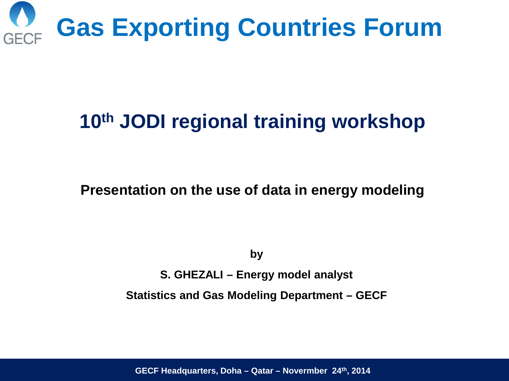

# **10th JODI regional training workshop**

**Presentation on the use of data in energy modeling**

**by**

**S. GHEZALI – Energy model analyst**

**Statistics and Gas Modeling Department – GECF** 

**GECF Headquarters, Doha – Qatar – Novermber 24th, 2014**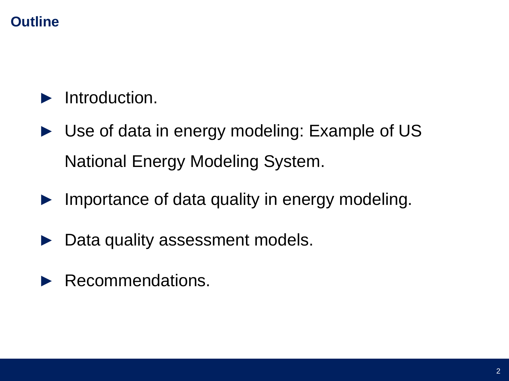## **Outline**

## ► Introduction.

- ► Use of data in energy modeling: Example of US National Energy Modeling System.
- ► Importance of data quality in energy modeling.
- ► Data quality assessment models.
- ▶ Recommendations.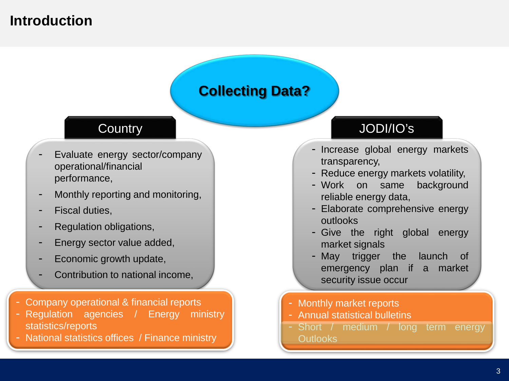### **Introduction**

### **Collecting Data?**

#### **Country**

- Evaluate energy sector/company operational/financial performance,
- Monthly reporting and monitoring,
- Fiscal duties,
- Regulation obligations,
- Energy sector value added,
- Economic growth update,
- Contribution to national income,
- Company operational & financial reports
- Regulation agencies / Energy ministry statistics/reports
- National statistics offices / Finance ministry

### JODI/IO's

- Increase global energy markets transparency,
- Reduce energy markets volatility,
- Work on same background reliable energy data,
- Elaborate comprehensive energy outlooks
- Give the right global energy market signals
- May trigger the launch of emergency plan if a market security issue occur
- Monthly market reports
- Annual statistical bulletins
- Short / medium / long term energy Outlooks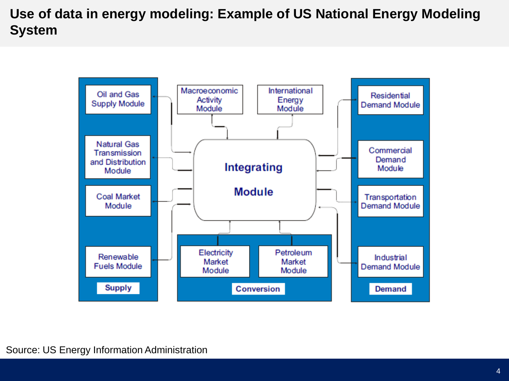#### **Use of data in energy modeling: Example of US National Energy Modeling System**

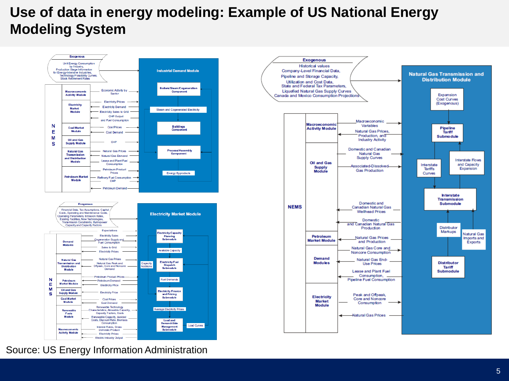#### **Use of data in energy modeling: Example of US National Energy Modeling System**



Source: US Energy Information Administration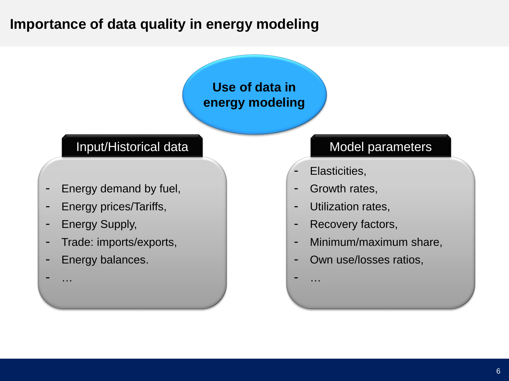## **Importance of data quality in energy modeling**

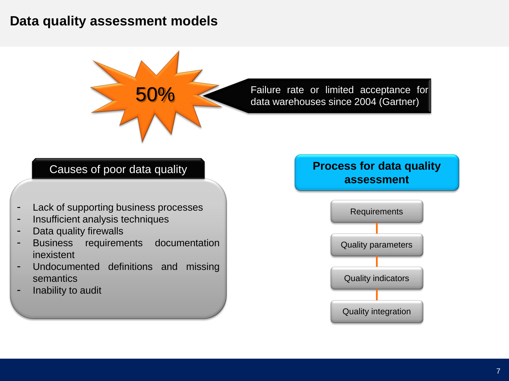#### **Data quality assessment models**



50% Failure rate or limited acceptance for data warehouses since 2004 (Gartner)

#### Causes of poor data quality

- Lack of supporting business processes
- Insufficient analysis techniques
- Data quality firewalls
- Business requirements documentation inexistent
- Undocumented definitions and missing semantics
- Inability to audit

#### **Process for data quality assessment**

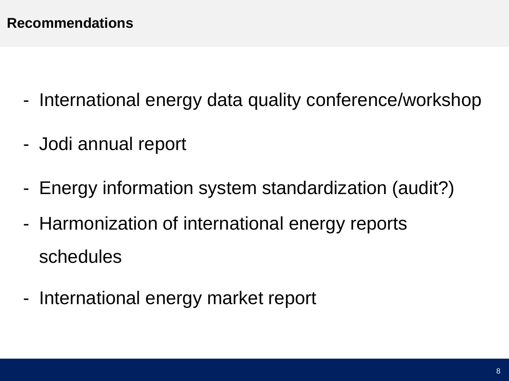- International energy data quality conference/workshop
- Jodi annual report
- Energy information system standardization (audit?)
- Harmonization of international energy reports schedules
- International energy market report